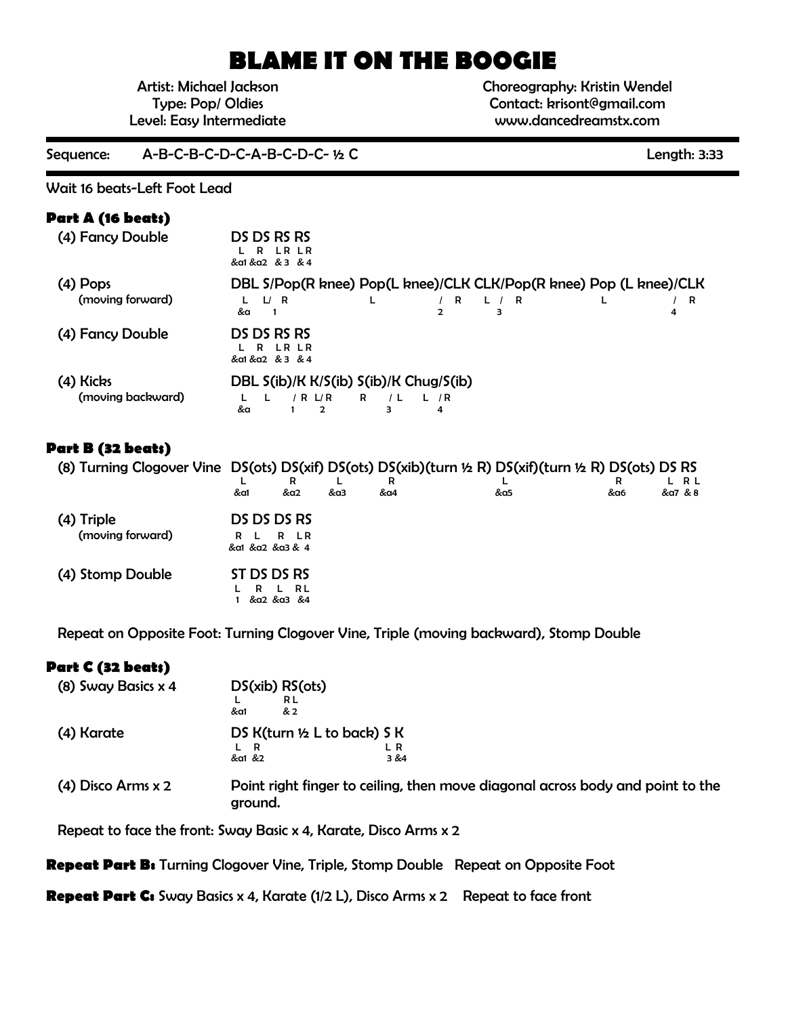# **BLAME IT ON THE BOOGIE**

Artist: Michael Jackson Type: Pop/ Oldies Level: Easy Intermediate Choreography: Kristin Wendel Contact: krisont@gmail.com www.dancedreamstx.com

Sequence: A-B-C-B-C-D-C-A-B-C-D-C- ½ C

Wait 16 beats-Left Foot Lead

### **Part A (16 beats)**

| (4) Fancy Double               | DS DS RS RS<br>L R LR LR<br>&a1 &a2 & 3 & 4                                                                                   |
|--------------------------------|-------------------------------------------------------------------------------------------------------------------------------|
| $(4)$ Pops<br>(moving forward) | DBL S/Pop(R knee) Pop(L knee)/CLK CLK/Pop(R knee) Pop (L knee)/CLK<br><b>R</b><br>L/R<br>L / R<br>L<br>R<br>&a<br>2<br>з<br>4 |
| (4) Fancy Double               | DS DS RS RS<br>L R LR LR<br>&a1 &a2 & 3 & 4                                                                                   |
| (4) Kicks<br>(moving backward) | DBL S(ib)/K K/S(ib) S(ib)/K Chug/S(ib)<br>R / L L / R<br>$/$ R $L/R$<br>&a<br>з<br>4<br>$\mathcal{L}$                         |

### **Part B (32 beats)**

| (8) Turning Clogover Vine DS(ots) DS(xif) DS(ots) DS(xib)(turn ½ R) DS(xif)(turn ½ R) DS(ots) DS RS |                                       |                    |     |          |     |     |                  |
|-----------------------------------------------------------------------------------------------------|---------------------------------------|--------------------|-----|----------|-----|-----|------------------|
|                                                                                                     | &a1                                   | &a2                | &a3 | к<br>&a4 | &a5 | &a6 | L R L<br>&a7 & 8 |
| (4) Triple<br>(moving forward)                                                                      | DS DS DS RS<br>R L<br>&a1 &a2 &a3 & 4 | R LR               |     |          |     |     |                  |
| (4) Stomp Double                                                                                    | ST DS DS RS<br>R                      | L RL<br>&a2 &a3 &4 |     |          |     |     |                  |

Repeat on Opposite Foot: Turning Clogover Vine, Triple (moving backward), Stomp Double

### **Part C (32 beats)**

| (8) Sway Basics $x$ 4  | DS(xib) RS(ots)<br>R L<br>&a1<br>& 2                                                      |
|------------------------|-------------------------------------------------------------------------------------------|
| (4) Karate             | DS $K(turn ½ L to back)$ S K<br>&a1 &2<br>3 & 84                                          |
| $(4)$ Disco Arms $x$ 2 | Point right finger to ceiling, then move diagonal across body and point to the<br>ground. |

Repeat to face the front: Sway Basic x 4, Karate, Disco Arms x 2

**Repeat Part B:** Turning Clogover Vine, Triple, Stomp Double Repeat on Opposite Foot

**Repeat Part C:** Sway Basics x 4, Karate (1/2 L), Disco Arms x 2 Repeat to face front